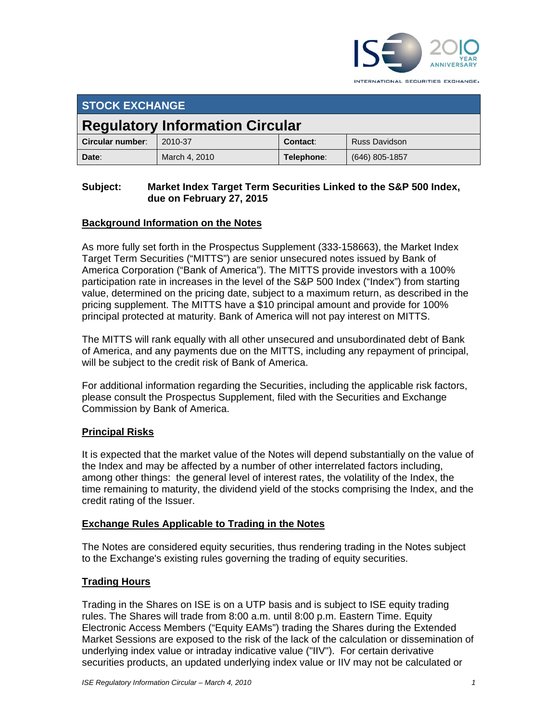

INTERNATIONAL SECURITIES EXCHANGE.

| <b>STOCK EXCHANGE</b>                  |               |                 |                      |
|----------------------------------------|---------------|-----------------|----------------------|
| <b>Regulatory Information Circular</b> |               |                 |                      |
| Circular number:                       | 2010-37       | <b>Contact:</b> | <b>Russ Davidson</b> |
| Date:                                  | March 4, 2010 | Telephone:      | (646) 805-1857       |

## **Subject: Market Index Target Term Securities Linked to the S&P 500 Index, due on February 27, 2015**

# **Background Information on the Notes**

As more fully set forth in the Prospectus Supplement (333-158663), the Market Index Target Term Securities ("MITTS") are senior unsecured notes issued by Bank of America Corporation ("Bank of America"). The MITTS provide investors with a 100% participation rate in increases in the level of the S&P 500 Index ("Index") from starting value, determined on the pricing date, subject to a maximum return, as described in the pricing supplement. The MITTS have a \$10 principal amount and provide for 100% principal protected at maturity. Bank of America will not pay interest on MITTS.

The MITTS will rank equally with all other unsecured and unsubordinated debt of Bank of America, and any payments due on the MITTS, including any repayment of principal, will be subject to the credit risk of Bank of America.

For additional information regarding the Securities, including the applicable risk factors, please consult the Prospectus Supplement, filed with the Securities and Exchange Commission by Bank of America.

## **Principal Risks**

It is expected that the market value of the Notes will depend substantially on the value of the Index and may be affected by a number of other interrelated factors including, among other things: the general level of interest rates, the volatility of the Index, the time remaining to maturity, the dividend yield of the stocks comprising the Index, and the credit rating of the Issuer.

## **Exchange Rules Applicable to Trading in the Notes**

The Notes are considered equity securities, thus rendering trading in the Notes subject to the Exchange's existing rules governing the trading of equity securities.

## **Trading Hours**

Trading in the Shares on ISE is on a UTP basis and is subject to ISE equity trading rules. The Shares will trade from 8:00 a.m. until 8:00 p.m. Eastern Time. Equity Electronic Access Members ("Equity EAMs") trading the Shares during the Extended Market Sessions are exposed to the risk of the lack of the calculation or dissemination of underlying index value or intraday indicative value ("IIV"). For certain derivative securities products, an updated underlying index value or IIV may not be calculated or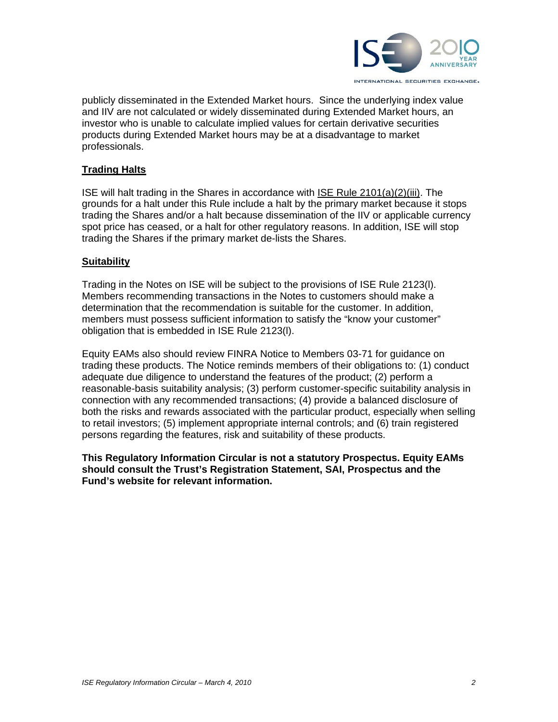

publicly disseminated in the Extended Market hours. Since the underlying index value and IIV are not calculated or widely disseminated during Extended Market hours, an investor who is unable to calculate implied values for certain derivative securities products during Extended Market hours may be at a disadvantage to market professionals.

# **Trading Halts**

ISE will halt trading in the Shares in accordance with ISE Rule 2101(a)(2)(iii). The grounds for a halt under this Rule include a halt by the primary market because it stops trading the Shares and/or a halt because dissemination of the IIV or applicable currency spot price has ceased, or a halt for other regulatory reasons. In addition, ISE will stop trading the Shares if the primary market de-lists the Shares.

#### **Suitability**

Trading in the Notes on ISE will be subject to the provisions of ISE Rule 2123(l). Members recommending transactions in the Notes to customers should make a determination that the recommendation is suitable for the customer. In addition, members must possess sufficient information to satisfy the "know your customer" obligation that is embedded in ISE Rule 2123(l).

Equity EAMs also should review FINRA Notice to Members 03-71 for guidance on trading these products. The Notice reminds members of their obligations to: (1) conduct adequate due diligence to understand the features of the product; (2) perform a reasonable-basis suitability analysis; (3) perform customer-specific suitability analysis in connection with any recommended transactions; (4) provide a balanced disclosure of both the risks and rewards associated with the particular product, especially when selling to retail investors; (5) implement appropriate internal controls; and (6) train registered persons regarding the features, risk and suitability of these products.

#### **This Regulatory Information Circular is not a statutory Prospectus. Equity EAMs should consult the Trust's Registration Statement, SAI, Prospectus and the Fund's website for relevant information.**